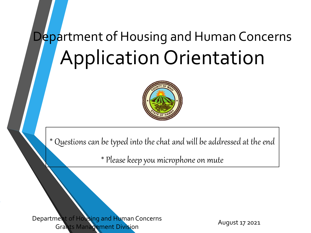## Department of Housing and Human Concerns Application Orientation



\* Questions can be typed into the chat and will be addressed at the end

\* Please keep you microphone on mute

Department of Housing and Human Concerns Grants Management Division

August 17 2021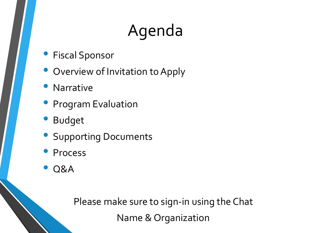## Agenda

- Fiscal Sponsor
- Overview of Invitation to Apply
- **Narrative**
- **Program Evaluation**
- **Budget**
- Supporting Documents
- **Process**
- Q&A

Please make sure to sign-in using the Chat Name & Organization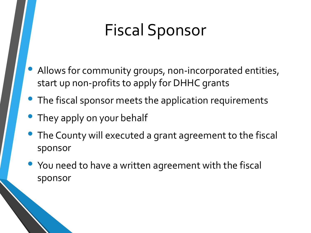## Fiscal Sponsor

- Allows for community groups, non-incorporated entities, start up non-profits to apply for DHHC grants
- The fiscal sponsor meets the application requirements
- They apply on your behalf
- The County will executed a grant agreement to the fiscal sponsor
- You need to have a written agreement with the fiscal sponsor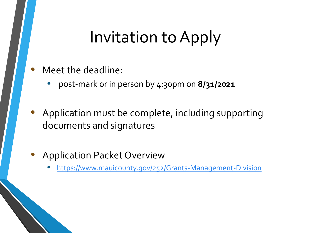### Invitation to Apply

- Meet the deadline:
	- post-mark or in person by 4:30pm on **8/31/2021**
- Application must be complete, including supporting documents and signatures
- Application Packet Overview
	- <https://www.mauicounty.gov/252/Grants-Management-Division>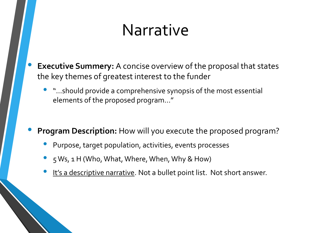### Narrative

- **Executive Summery:** A concise overview of the proposal that states the key themes of greatest interest to the funder
	- "…should provide a comprehensive synopsis of the most essential elements of the proposed program…"
- **Program Description:** How will you execute the proposed program?
	- Purpose, target population, activities, events processes
	- 5 Ws, 1 H (Who, What, Where, When, Why & How)
	- It's a descriptive narrative. Not a bullet point list. Not short answer.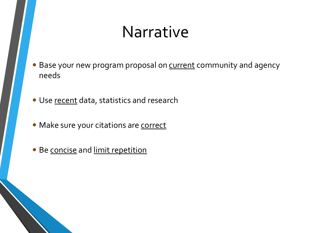### Narrative

- Base your new program proposal on **current** community and agency needs
- Use recent data, statistics and research
- Make sure your citations are correct
- Be concise and limit repetition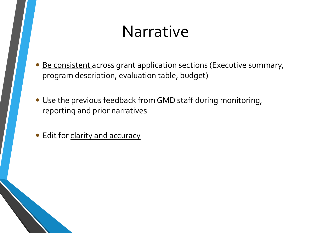### Narrative

- Be consistent across grant application sections (Executive summary, program description, evaluation table, budget)
- Use the previous feedback from GMD staff during monitoring, reporting and prior narratives
- Edit for clarity and accuracy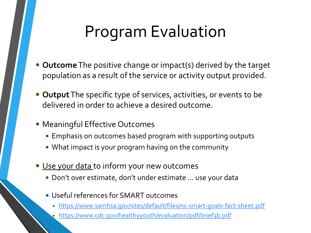## Program Evaluation

- **Outcome**The positive change or impact(s) derived by the target population as a result of the service or activity output provided.
- **Output**The specific type of services, activities, or events to be delivered in order to achieve a desired outcome.
- Meaningful Effective Outcomes
	- Emphasis on outcomes based program with supporting outputs
	- What impact is your program having on the community
- Use your data to inform your new outcomes
	- Don't over estimate, don't under estimate … use your data
	- Useful references for SMART outcomes
		- <https://www.samhsa.gov/sites/default/files/nc-smart-goals-fact-sheet.pdf>
		- <https://www.cdc.gov/healthyyouth/evaluation/pdf/brief3b.pdf>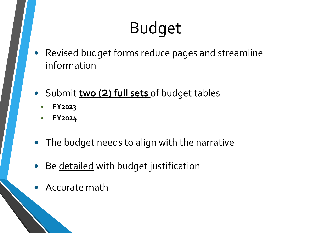## Budget

- Revised budget forms reduce pages and streamline information
- Submit **two (2) full sets** of budget tables
	- **FY2023**
	- **FY2024**
- The budget needs to align with the narrative
- Be detailed with budget justification
- Accurate math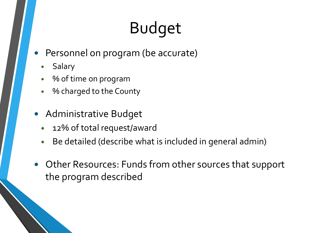# Budget

- Personnel on program (be accurate)
	- Salary
	- % of time on program
	- % charged to the County
- **Administrative Budget** 
	- 12% of total request/award
	- Be detailed (describe what is included in general admin)
- Other Resources: Funds from other sources that support the program described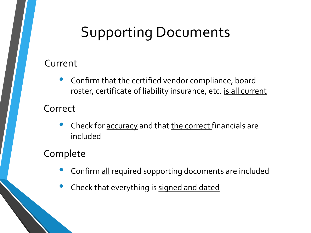#### Supporting Documents

#### Current

• Confirm that the certified vendor compliance, board roster, certificate of liability insurance, etc. is all current

#### Correct

Check for accuracy and that the correct financials are included

#### Complete

- Confirm all required supporting documents are included
- Check that everything is signed and dated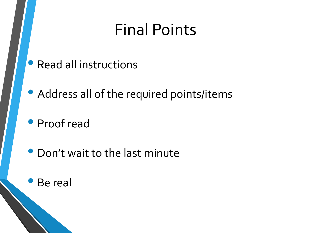## Final Points

- Read all instructions
- Address all of the required points/items
- Proof read
- Don't wait to the last minute
- Be real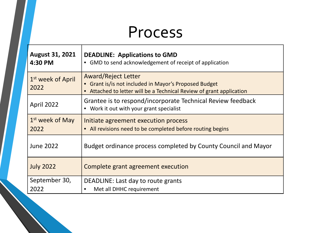### Process

| <b>August 31, 2021</b><br>4:30 PM     | <b>DEADLINE: Applications to GMD</b><br>• GMD to send acknowledgement of receipt of application                                                             |
|---------------------------------------|-------------------------------------------------------------------------------------------------------------------------------------------------------------|
| 1 <sup>st</sup> week of April<br>2022 | <b>Award/Reject Letter</b><br>• Grant is/is not included in Mayor's Proposed Budget<br>• Attached to letter will be a Technical Review of grant application |
| April 2022                            | Grantee is to respond/incorporate Technical Review feedback<br>• Work it out with your grant specialist                                                     |
| $1st$ week of May<br>2022             | Initiate agreement execution process<br>• All revisions need to be completed before routing begins                                                          |
| <b>June 2022</b>                      | Budget ordinance process completed by County Council and Mayor                                                                                              |
| <b>July 2022</b>                      | Complete grant agreement execution                                                                                                                          |
| September 30,<br>2022                 | DEADLINE: Last day to route grants<br>Met all DHHC requirement<br>$\bullet$                                                                                 |